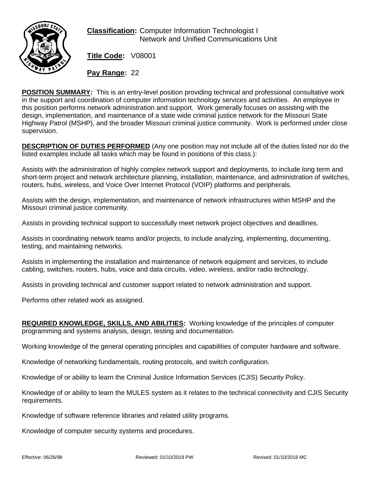

## **Classification:** Computer Information Technologist I Network and Unified Communications Unit

**Title Code:** V08001

**Pay Range:** 22

**POSITION SUMMARY:** This is an entry-level position providing technical and professional consultative work in the support and coordination of computer information technology services and activities. An employee in this position performs network administration and support. Work generally focuses on assisting with the design, implementation, and maintenance of a state wide criminal justice network for the Missouri State Highway Patrol (MSHP), and the broader Missouri criminal justice community. Work is performed under close supervision.

**DESCRIPTION OF DUTIES PERFORMED** (Any one position may not include all of the duties listed nor do the listed examples include all tasks which may be found in positions of this class.):

Assists with the administration of highly complex network support and deployments, to include long term and short-term project and network architecture planning, installation, maintenance, and administration of switches, routers, hubs, wireless, and Voice Over Internet Protocol (VOIP) platforms and peripherals.

Assists with the design, implementation, and maintenance of network infrastructures within MSHP and the Missouri criminal justice community.

Assists in providing technical support to successfully meet network project objectives and deadlines.

Assists in coordinating network teams and/or projects, to include analyzing, implementing, documenting, testing, and maintaining networks.

Assists in implementing the installation and maintenance of network equipment and services, to include cabling, switches, routers, hubs, voice and data circuits, video, wireless, and/or radio technology.

Assists in providing technical and customer support related to network administration and support.

Performs other related work as assigned.

**REQUIRED KNOWLEDGE, SKILLS, AND ABILITIES:** Working knowledge of the principles of computer programming and systems analysis, design, testing and documentation.

Working knowledge of the general operating principles and capabilities of computer hardware and software.

Knowledge of networking fundamentals, routing protocols, and switch configuration.

Knowledge of or ability to learn the Criminal Justice Information Services (CJIS) Security Policy.

Knowledge of or ability to learn the MULES system as it relates to the technical connectivity and CJIS Security requirements.

Knowledge of software reference libraries and related utility programs.

Knowledge of computer security systems and procedures.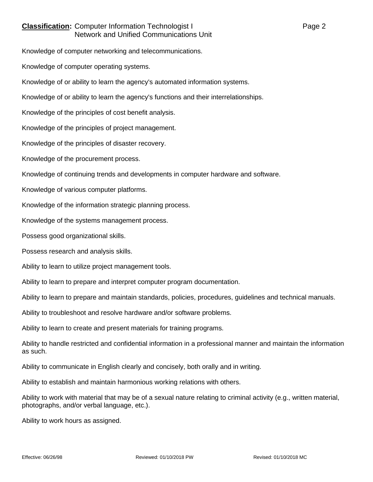## **Classification:** Computer Information Technologist I Page 2 Network and Unified Communications Unit

Knowledge of computer networking and telecommunications.

Knowledge of computer operating systems.

Knowledge of or ability to learn the agency's automated information systems.

Knowledge of or ability to learn the agency's functions and their interrelationships.

Knowledge of the principles of cost benefit analysis.

Knowledge of the principles of project management.

Knowledge of the principles of disaster recovery.

Knowledge of the procurement process.

Knowledge of continuing trends and developments in computer hardware and software.

Knowledge of various computer platforms.

Knowledge of the information strategic planning process.

Knowledge of the systems management process.

Possess good organizational skills.

Possess research and analysis skills.

Ability to learn to utilize project management tools.

Ability to learn to prepare and interpret computer program documentation.

Ability to learn to prepare and maintain standards, policies, procedures, guidelines and technical manuals.

Ability to troubleshoot and resolve hardware and/or software problems.

Ability to learn to create and present materials for training programs.

Ability to handle restricted and confidential information in a professional manner and maintain the information as such.

Ability to communicate in English clearly and concisely, both orally and in writing.

Ability to establish and maintain harmonious working relations with others.

Ability to work with material that may be of a sexual nature relating to criminal activity (e.g., written material, photographs, and/or verbal language, etc.).

Ability to work hours as assigned.